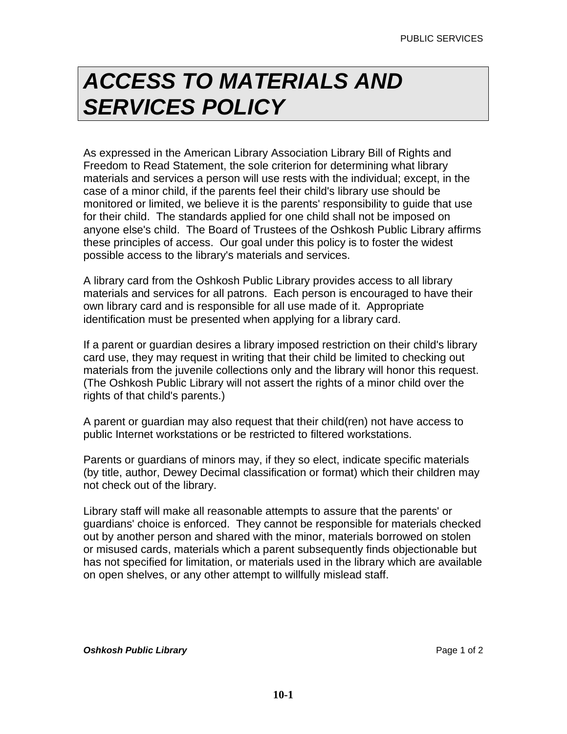## *ACCESS TO MATERIALS AND SERVICES POLICY*

As expressed in the American Library Association Library Bill of Rights and Freedom to Read Statement, the sole criterion for determining what library materials and services a person will use rests with the individual; except, in the case of a minor child, if the parents feel their child's library use should be monitored or limited, we believe it is the parents' responsibility to guide that use for their child. The standards applied for one child shall not be imposed on anyone else's child. The Board of Trustees of the Oshkosh Public Library affirms these principles of access. Our goal under this policy is to foster the widest possible access to the library's materials and services.

A library card from the Oshkosh Public Library provides access to all library materials and services for all patrons. Each person is encouraged to have their own library card and is responsible for all use made of it. Appropriate identification must be presented when applying for a library card.

If a parent or guardian desires a library imposed restriction on their child's library card use, they may request in writing that their child be limited to checking out materials from the juvenile collections only and the library will honor this request. (The Oshkosh Public Library will not assert the rights of a minor child over the rights of that child's parents.)

A parent or guardian may also request that their child(ren) not have access to public Internet workstations or be restricted to filtered workstations.

Parents or guardians of minors may, if they so elect, indicate specific materials (by title, author, Dewey Decimal classification or format) which their children may not check out of the library.

Library staff will make all reasonable attempts to assure that the parents' or guardians' choice is enforced. They cannot be responsible for materials checked out by another person and shared with the minor, materials borrowed on stolen or misused cards, materials which a parent subsequently finds objectionable but has not specified for limitation, or materials used in the library which are available on open shelves, or any other attempt to willfully mislead staff.